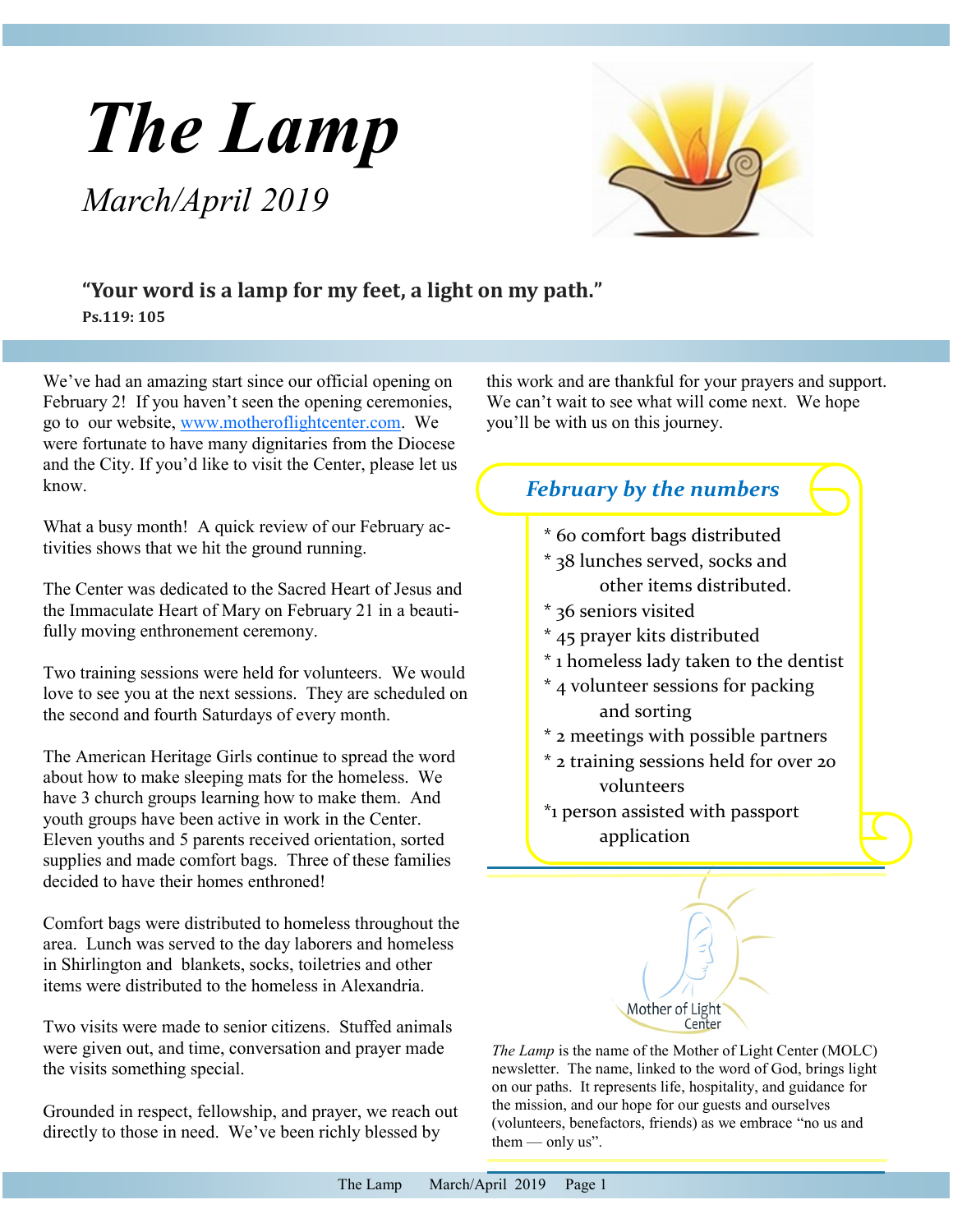# <span id="page-0-0"></span>*The Lamp March/April 2019*



# **"Your word is a lamp for my feet, a light on my path."**

**Ps.119: 105**

We've had an amazing start since our official opening on February 2! If you haven't seen the opening ceremonies, go to our website, [www.motheroflightcenter.com.](#page-0-0) We were fortunate to have many dignitaries from the Diocese and the City. If you'd like to visit the Center, please let us know.

What a busy month! A quick review of our February activities shows that we hit the ground running.

The Center was dedicated to the Sacred Heart of Jesus and the Immaculate Heart of Mary on February 21 in a beautifully moving enthronement ceremony.

Two training sessions were held for volunteers. We would love to see you at the next sessions. They are scheduled on the second and fourth Saturdays of every month.

The American Heritage Girls continue to spread the word about how to make sleeping mats for the homeless. We have 3 church groups learning how to make them. And youth groups have been active in work in the Center. Eleven youths and 5 parents received orientation, sorted supplies and made comfort bags. Three of these families decided to have their homes enthroned!

Comfort bags were distributed to homeless throughout the area. Lunch was served to the day laborers and homeless in Shirlington and blankets, socks, toiletries and other items were distributed to the homeless in Alexandria.

Two visits were made to senior citizens. Stuffed animals were given out, and time, conversation and prayer made the visits something special.

Grounded in respect, fellowship, and prayer, we reach out directly to those in need. We've been richly blessed by

this work and are thankful for your prayers and support. We can't wait to see what will come next. We hope you'll be with us on this journey.

# \* 60 comfort bags distributed *February by the numbers*

- \* 38 lunches served, socks and
	- other items distributed.
- \* 36 seniors visited
- \* 45 prayer kits distributed
- \* 1 homeless lady taken to the dentist
- \* 4 volunteer sessions for packing and sorting
- \* 2 meetings with possible partners
- \* 2 training sessions held for over 20 volunteers
- \*1 person assisted with passport application



*The Lamp* is the name of the Mother of Light Center (MOLC) newsletter. The name, linked to the word of God, brings light on our paths. It represents life, hospitality, and guidance for the mission, and our hope for our guests and ourselves (volunteers, benefactors, friends) as we embrace "no us and them  $-$  only us".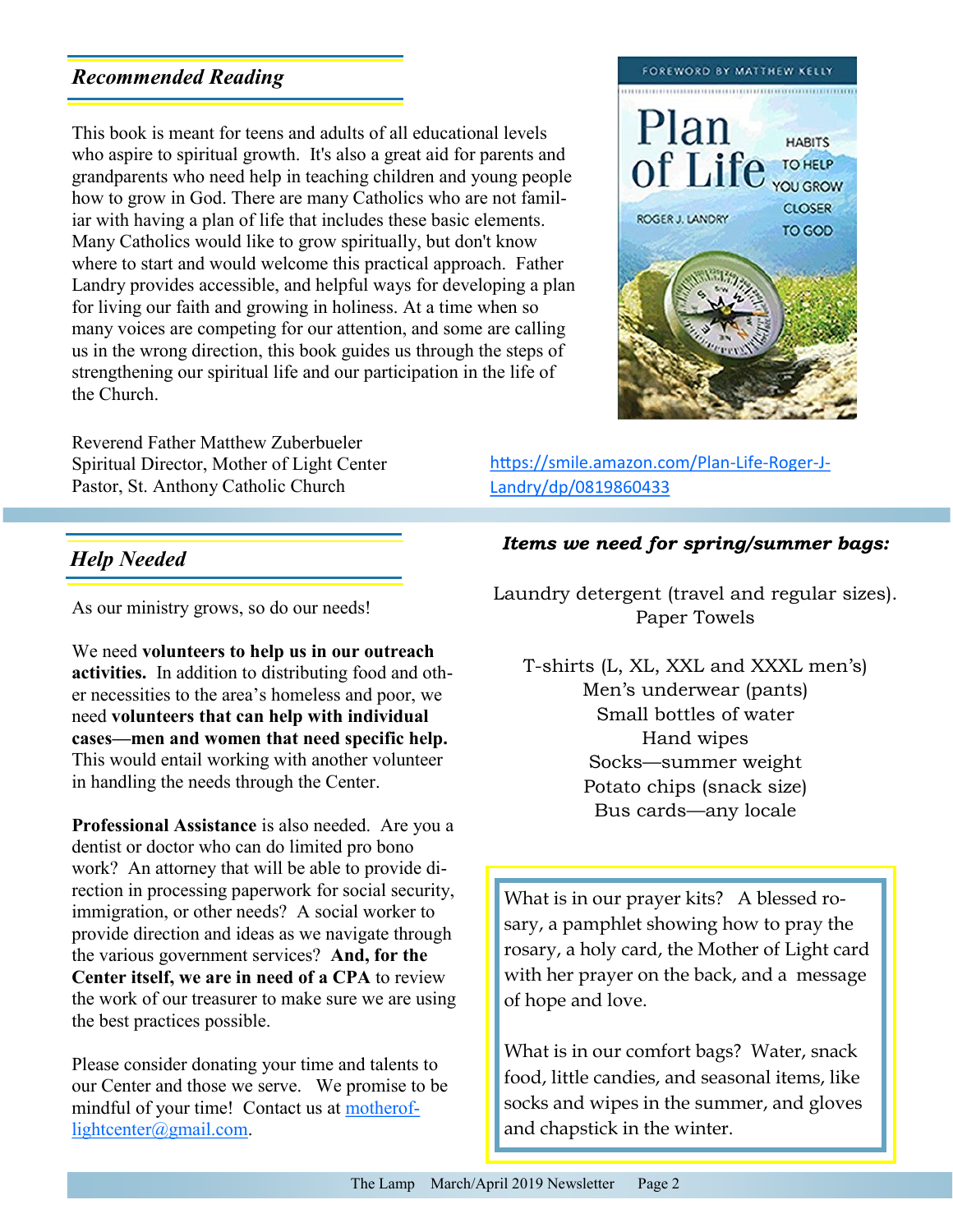#### <span id="page-1-0"></span>*Recommended Reading*

This book is meant for teens and adults of all educational levels who aspire to spiritual growth. It's also a great aid for parents and grandparents who need help in teaching children and young people how to grow in God. There are many Catholics who are not familiar with having a plan of life that includes these basic elements. Many Catholics would like to grow spiritually, but don't know where to start and would welcome this practical approach. Father Landry provides accessible, and helpful ways for developing a plan for living our faith and growing in holiness. At a time when so many voices are competing for our attention, and some are calling us in the wrong direction, this book guides us through the steps of strengthening our spiritual life and our participation in the life of the Church.

Reverend Father Matthew Zuberbueler Spiritual Director, Mother of Light Center Pastor, St. Anthony Catholic Church



[https://smile.amazon.com/Plan](#page-1-0)-Life-Roger-J-[Landry/dp/0819860433](#page-1-0)

#### *Help Needed*

As our ministry grows, so do our needs!

We need **volunteers to help us in our outreach activities.** In addition to distributing food and other necessities to the area's homeless and poor, we need **volunteers that can help with individual cases—men and women that need specific help.**  This would entail working with another volunteer in handling the needs through the Center.

**Professional Assistance** is also needed. Are you a dentist or doctor who can do limited pro bono work? An attorney that will be able to provide direction in processing paperwork for social security, immigration, or other needs? A social worker to provide direction and ideas as we navigate through the various government services? **And, for the Center itself, we are in need of a CPA** to review the work of our treasurer to make sure we are using the best practices possible.

Please consider donating your time and talents to our Center and those we serve. We promise to be mindful of your time! Contact us at [motherof](#page-1-0)[lightcenter@gmail.com.](#page-1-0)

#### *Items we need for spring/summer bags:*

Laundry detergent (travel and regular sizes). Paper Towels

T-shirts (L, XL, XXL and XXXL men's) Men's underwear (pants) Small bottles of water Hand wipes Socks—summer weight Potato chips (snack size) Bus cards—any locale

What is in our prayer kits? A blessed rosary, a pamphlet showing how to pray the rosary, a holy card, the Mother of Light card with her prayer on the back, and a message of hope and love.

What is in our comfort bags? Water, snack food, little candies, and seasonal items, like socks and wipes in the summer, and gloves and chapstick in the winter.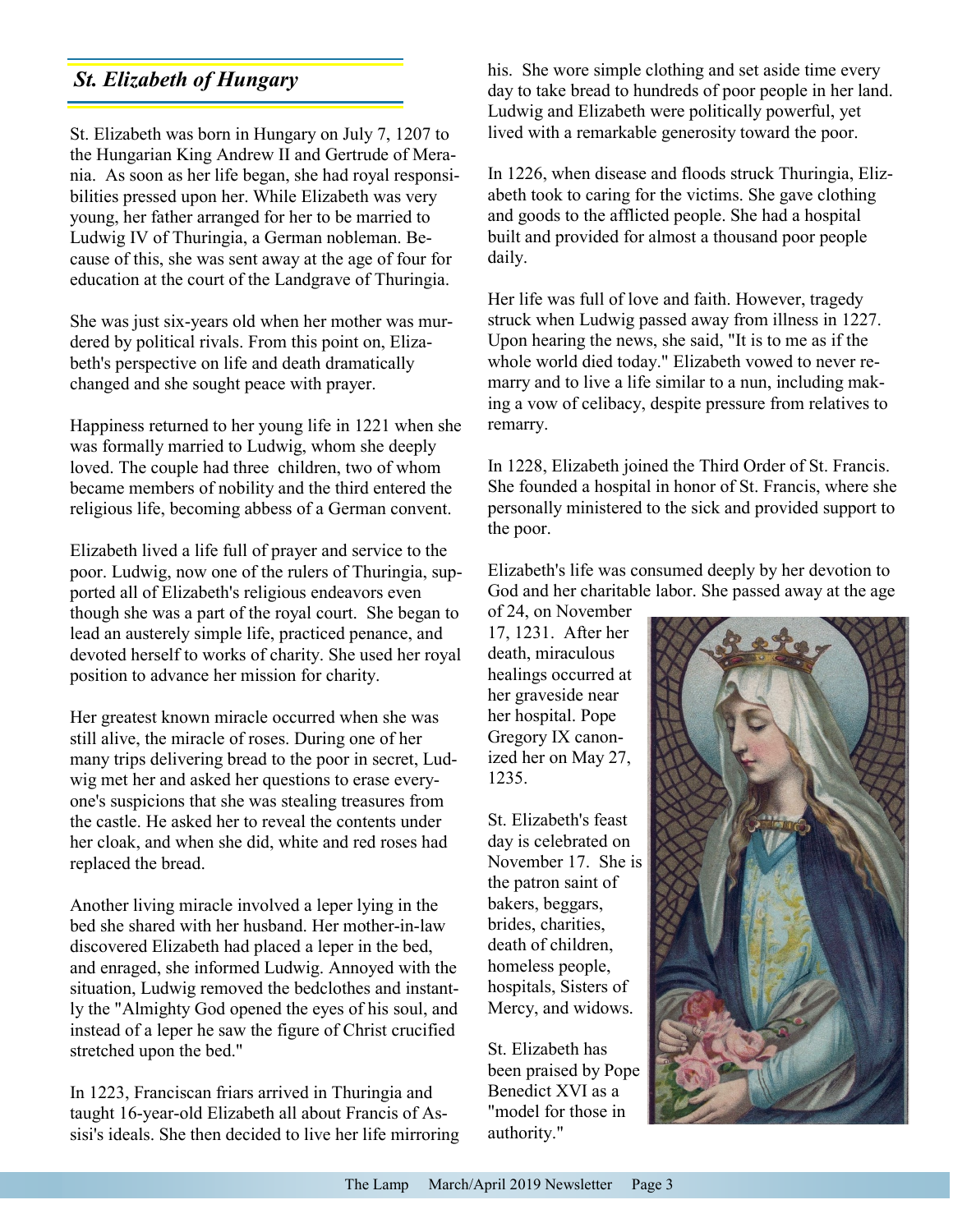St. Elizabeth was born in Hungary on July 7, 1207 to the Hungarian King Andrew II and Gertrude of Merania. As soon as her life began, she had royal responsibilities pressed upon her. While Elizabeth was very young, her father arranged for her to be married to Ludwig IV of Thuringia, a German nobleman. Because of this, she was sent away at the age of four for education at the court of the Landgrave of Thuringia.

She was just six-years old when her mother was murdered by political rivals. From this point on, Elizabeth's perspective on life and death dramatically changed and she sought peace with prayer.

Happiness returned to her young life in 1221 when she was formally married to Ludwig, whom she deeply loved. The couple had three children, two of whom became members of nobility and the third entered the religious life, becoming abbess of a German convent.

Elizabeth lived a life full of prayer and service to the poor. Ludwig, now one of the rulers of Thuringia, supported all of Elizabeth's religious endeavors even though she was a part of the royal court. She began to lead an austerely simple life, practiced penance, and devoted herself to works of charity. She used her royal position to advance her mission for charity.

Her greatest known miracle occurred when she was still alive, the miracle of roses. During one of her many trips delivering bread to the poor in secret, Ludwig met her and asked her questions to erase everyone's suspicions that she was stealing treasures from the castle. He asked her to reveal the contents under her cloak, and when she did, white and red roses had replaced the bread.

Another living miracle involved a leper lying in the bed she shared with her husband. Her mother-in-law discovered Elizabeth had placed a leper in the bed, and enraged, she informed Ludwig. Annoyed with the situation, Ludwig removed the bedclothes and instantly the "Almighty God opened the eyes of his soul, and instead of a leper he saw the figure of Christ crucified stretched upon the bed."

In 1223, Franciscan friars arrived in Thuringia and taught 16-year-old Elizabeth all about Francis of Assisi's ideals. She then decided to live her life mirroring

**St. Elizabeth of Hungary** his. She wore simple clothing and set aside time every day to take bread to hundreds of poor people in her land. Ludwig and Elizabeth were politically powerful, yet lived with a remarkable generosity toward the poor.

> In 1226, when disease and floods struck Thuringia, Elizabeth took to caring for the victims. She gave clothing and goods to the afflicted people. She had a hospital built and provided for almost a thousand poor people daily.

Her life was full of love and faith. However, tragedy struck when Ludwig passed away from illness in 1227. Upon hearing the news, she said, "It is to me as if the whole world died today." Elizabeth vowed to never remarry and to live a life similar to a nun, including making a vow of celibacy, despite pressure from relatives to remarry.

In 1228, Elizabeth joined the Third Order of St. Francis. She founded a hospital in honor of St. Francis, where she personally ministered to the sick and provided support to the poor.

Elizabeth's life was consumed deeply by her devotion to God and her charitable labor. She passed away at the age

of 24, on November 17, 1231. After her death, miraculous healings occurred at her graveside near her hospital. Pope Gregory IX canonized her on May 27, 1235.

St. Elizabeth's feast day is celebrated on November 17. She is the patron saint of bakers, beggars, brides, charities, death of children, homeless people, hospitals, Sisters of Mercy, and widows.

St. Elizabeth has been praised by Pope Benedict XVI as a "model for those in authority."